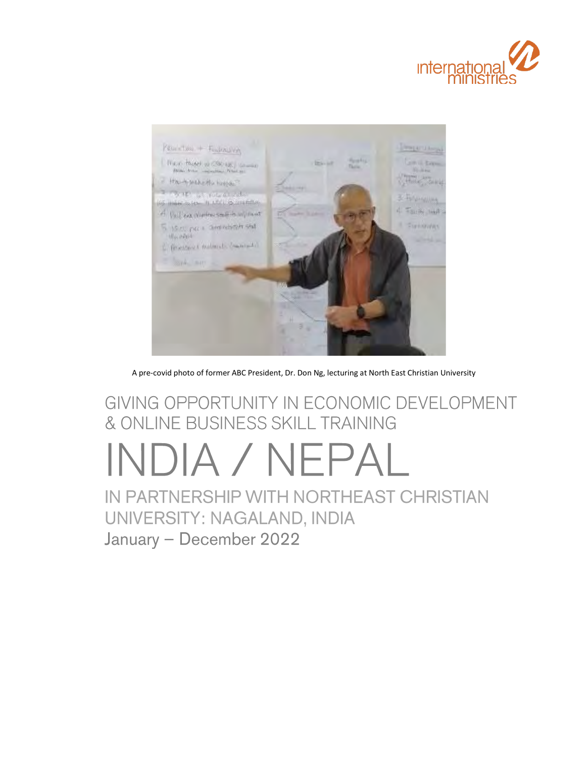



A pre-covid photo of former ABC President, Dr. Don Ng, lecturing at North East Christian University

#### GIVING OPPORTUNITY IN ECONOMIC DEVELOPMENT & ONLINE BUSINESS SKILL TRAINING

# INDIA / NEPAL

IN PARTNERSHIP WITH NORTHEAST CHRISTIAN UNIVERSITY: NAGALAND, INDIA January - December 2022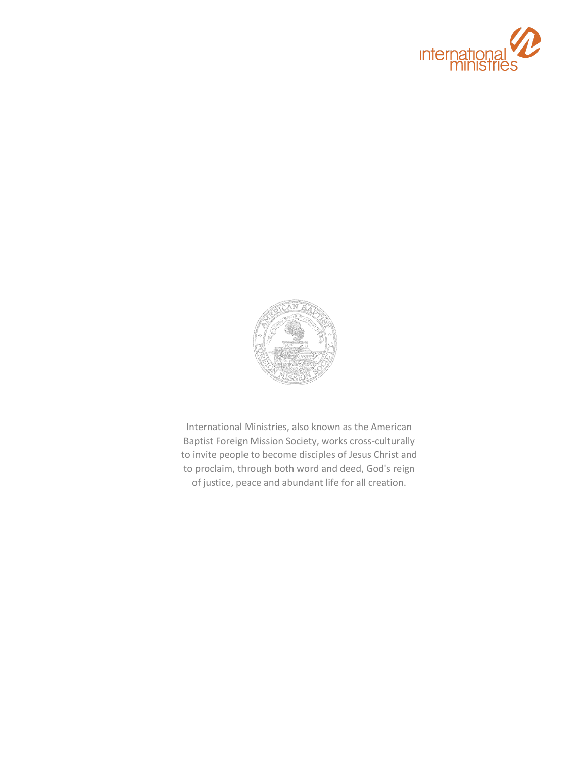



International Ministries, also known as the American Baptist Foreign Mission Society, works cross-culturally to invite people to become disciples of Jesus Christ and to proclaim, through both word and deed, God's reign of justice, peace and abundant life for all creation.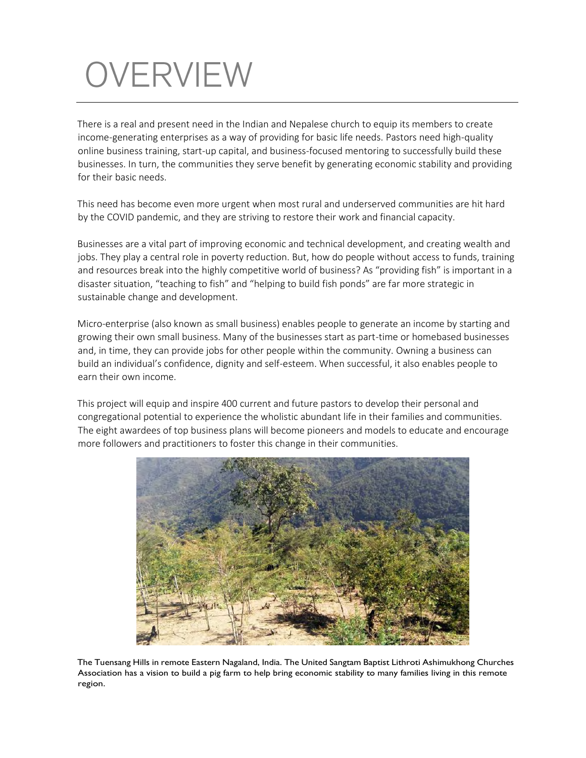# OVERVIEW

There is a real and present need in the Indian and Nepalese church to equip its members to create income-generating enterprises as a way of providing for basic life needs. Pastors need high-quality online business training, start-up capital, and business-focused mentoring to successfully build these businesses. In turn, the communities they serve benefit by generating economic stability and providing for their basic needs.

This need has become even more urgent when most rural and underserved communities are hit hard by the COVID pandemic, and they are striving to restore their work and financial capacity.

Businesses are a vital part of improving economic and technical development, and creating wealth and jobs. They play a central role in poverty reduction. But, how do people without access to funds, training and resources break into the highly competitive world of business? As "providing fish" is important in a disaster situation, "teaching to fish" and "helping to build fish ponds" are far more strategic in sustainable change and development.

Micro-enterprise (also known as small business) enables people to generate an income by starting and growing their own small business. Many of the businesses start as part-time or homebased businesses and, in time, they can provide jobs for other people within the community. Owning a business can build an individual's confidence, dignity and self-esteem. When successful, it also enables people to earn their own income.

This project will equip and inspire 400 current and future pastors to develop their personal and congregational potential to experience the wholistic abundant life in their families and communities. The eight awardees of top business plans will become pioneers and models to educate and encourage more followers and practitioners to foster this change in their communities.



The Tuensang Hills in remote Eastern Nagaland, India. The United Sangtam Baptist Lithroti Ashimukhong Churches Association has a vision to build a pig farm to help bring economic stability to many families living in this remote region.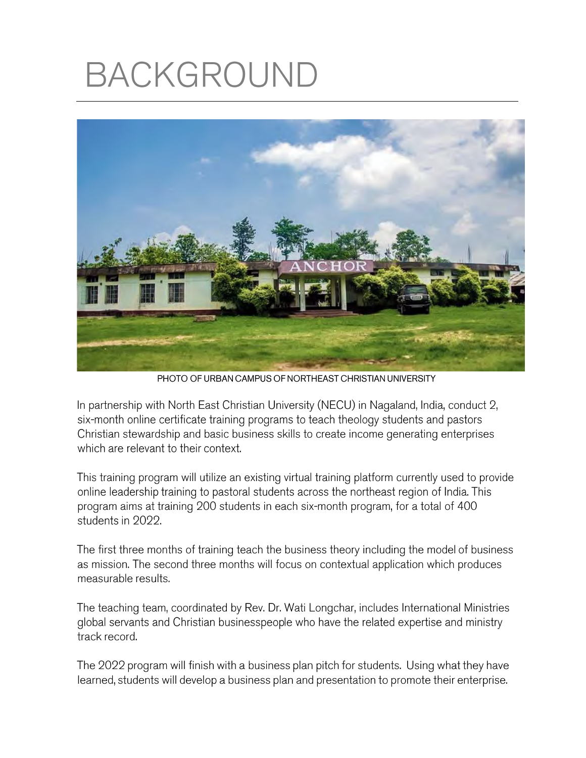### BACKGROUND



PHOTO OF URBAN CAMPUS OF NORTHEAST CHRISTIAN UNIVERSITY

In partnership with North East Christian University (NECU) in Nagaland, India, conduct 2, six-month online certificate training programs to teach theology students and pastors Christian stewardship and basic business skills to create income generating enterprises which are relevant to their context.

This training program will utilize an existing virtual training platform currently used to provide online leadership training to pastoral students across the northeast region of India. This program aims at training 200 students in each six-month program, for a total of 400 students in 2022.

The first three months of training teach the business theory including the model of business as mission. The second three months will focus on contextual application which produces measurable results.

The teaching team, coordinated by Rev. Dr. Wati Longchar, includes International Ministries global servants and Christian businesspeople who have the related expertise and ministry track record.

The 2022 program will finish with a business plan pitch for students. Using what they have learned, students will develop a business plan and presentation to promote their enterprise.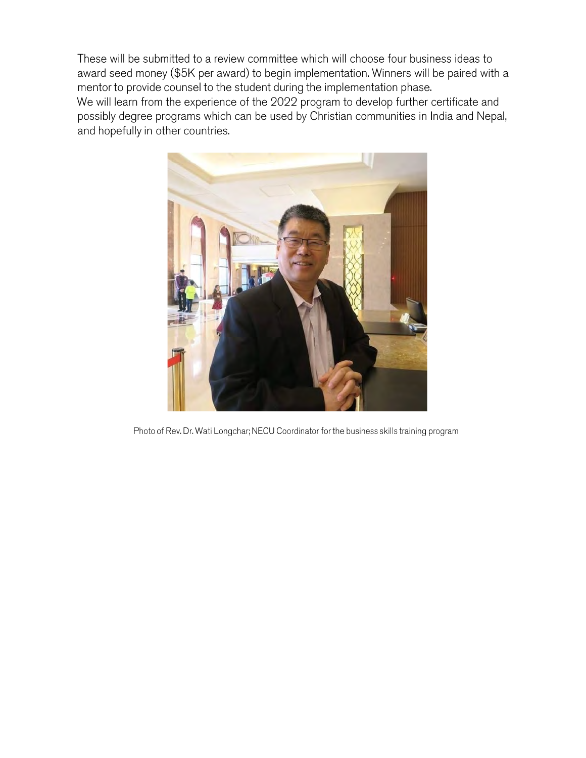These will be submitted to a review committee which will choose four business ideas to award seed money (\$5K per award) to begin implementation. Winners will be paired with a mentor to provide counsel to the student during the implementation phase.

We will learn from the experience of the 2022 program to develop further certificate and possibly degree programs which can be used by Christian communities in India and Nepal, and hopefully in other countries.



Photo of Rev. Dr. Wati Longchar; NECU Coordinator for the business skills training program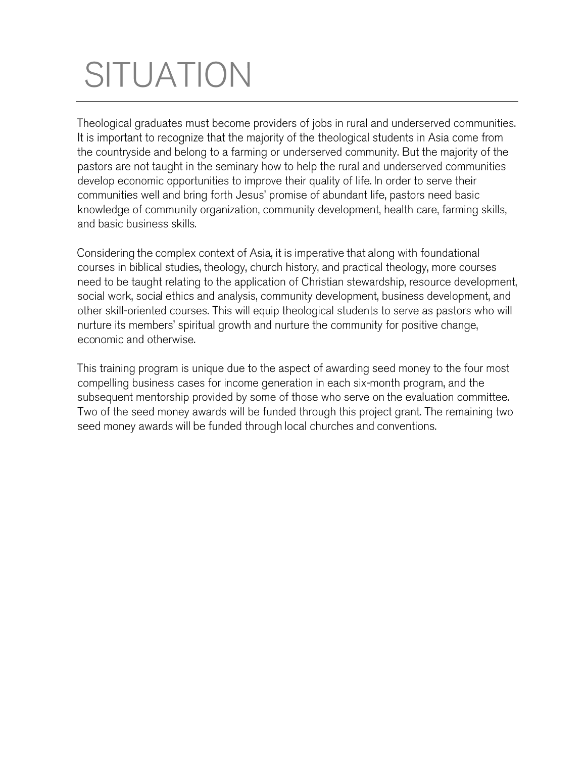# SITUATION

Theological graduates must become providers of jobs in rural and underserved communities. It is important to recognize that the majority of the theological students in Asia come from the countryside and belong to a farming or underserved community. But the majority of the pastors are not taught in the seminary how to help the rural and underserved communities develop economic opportunities to improve their quality of life. In order to serve their communities well and bring forth Jesus' promise of abundant life, pastors need basic knowledge of community organization, community development, health care, farming skills, and basic business skills.

Considering the complex context of Asia, it is imperative that along with foundational courses in biblical studies, theology, church history, and practical theology, more courses need to be taught relating to the application of Christian stewardship, resource development, social work, social ethics and analysis, community development, business development, and other skill-oriented courses. This will equip theological students to serve as pastors who will nurture its members' spiritual growth and nurture the community for positive change, economic and otherwise.

This training program is unique due to the aspect of awarding seed money to the four most compelling business cases for income generation in each six-month program, and the subsequent mentorship provided by some of those who serve on the evaluation committee. Two of the seed money awards will be funded through this project grant. The remaining two seed money awards will be funded through local churches and conventions.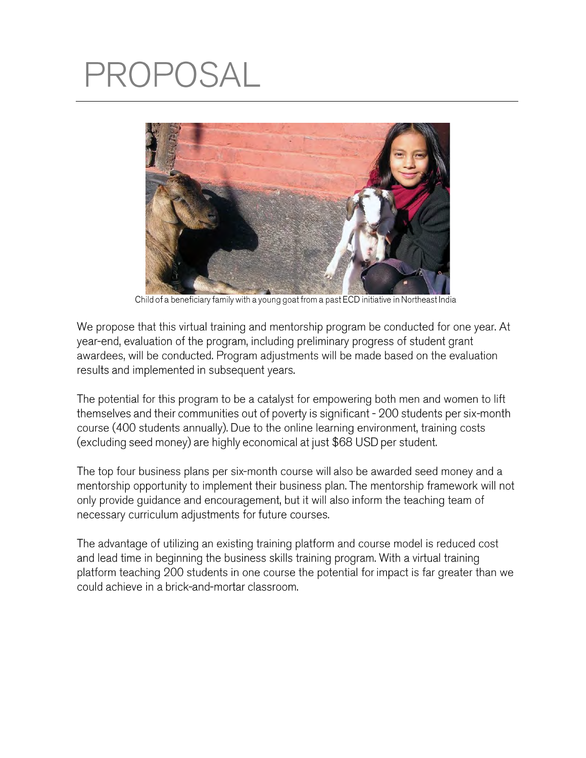### PROPOSAL



Child of a beneficiary family with a young goat from a past ECD initiative in Northeast India

We propose that this virtual training and mentorship program be conducted for one year. At year-end, evaluation of the program, including preliminary progress of student grant awardees, will be conducted. Program adjustments will be made based on the evaluation results and implemented in subsequent years.

The potential for this program to be a catalyst for empowering both men and women to lift themselves and their communities out of poverty is significant - 200 students per six-month course (400 students annually). Due to the online learning environment, training costs (excluding seed money) are highly economical at just \$68 USD per student.

The top four business plans per six-month course will also be awarded seed money and a mentorship opportunity to implement their business plan. The mentorship framework will not only provide guidance and encouragement, but it will also inform the teaching team of necessary curriculum adjustments for future courses.

The advantage of utilizing an existing training platform and course model is reduced cost and lead time in beginning the business skills training program. With a virtual training platform teaching 200 students in one course the potential for impact is far greater than we could achieve in a brick-and-mortar classroom.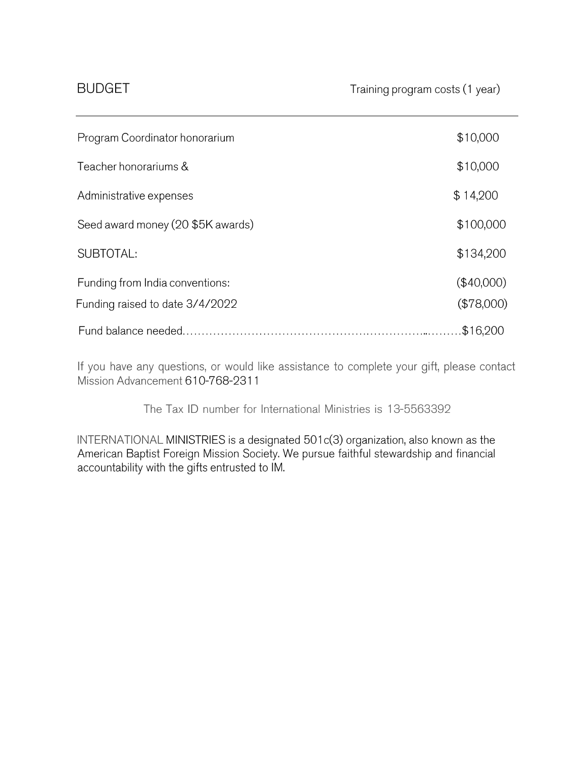| Program Coordinator honorarium                                     | \$10,000                 |
|--------------------------------------------------------------------|--------------------------|
| Teacher honorariums &                                              | \$10,000                 |
| Administrative expenses                                            | \$14,200                 |
| Seed award money (20 \$5K awards)                                  | \$100,000                |
| SUBTOTAL:                                                          | \$134,200                |
| Funding from India conventions:<br>Funding raised to date 3/4/2022 | (\$40,000)<br>(\$78,000) |
|                                                                    | \$16,200                 |

If you have any questions, or would like assistance to complete your gift, please contact Mission Advancement 610-768-2311

The Tax ID number for International Ministries is 13-5563392

INTERNATIONAL MINISTRIES is a designated 501c(3) organization, also known as the American Baptist Foreign Mission Society. We pursue faithful stewardship and financial accountability with the gifts entrusted to IM.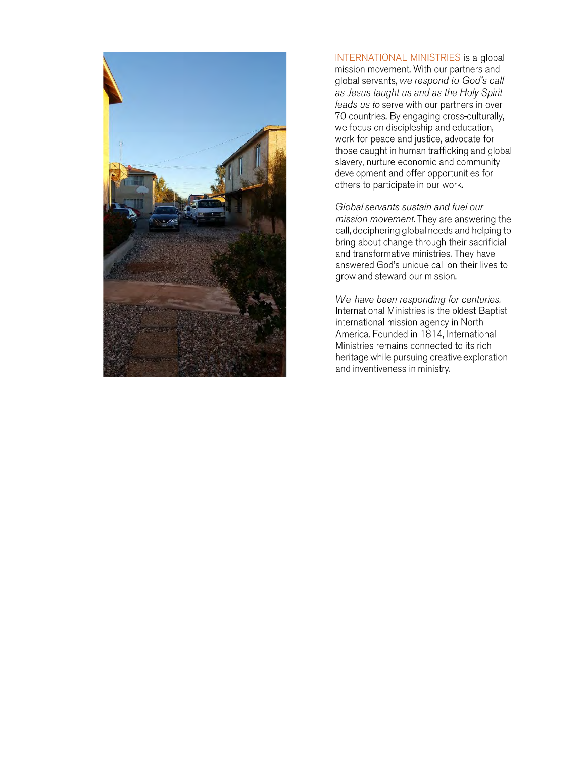

INTERNATIONAL MINISTRIES is a global mission movement. With our partners and global servants, we respond to God's call as Jesus taught us and as the Holy Spirit leads us to serve with our partners in over 70 countries. By engaging cross-culturally, we focus on discipleship and education, work for peace and justice, advocate for those caught in human trafficking and global slavery, nurture economic and community development and offer opportunities for others to participate in our work.

Global servants sustain and fuel our mission movement. They are answering the call, deciphering global needs and helping to bring about change through their sacrificial and transformative ministries. They have answered God's unique call on their lives to grow and steward our mission.

We have been responding for centuries. International Ministries is the oldest Baptist international mission agency in North America. Founded in 1814, International Ministries remains connected to its rich heritage while pursuing creative exploration and inventiveness in ministry.